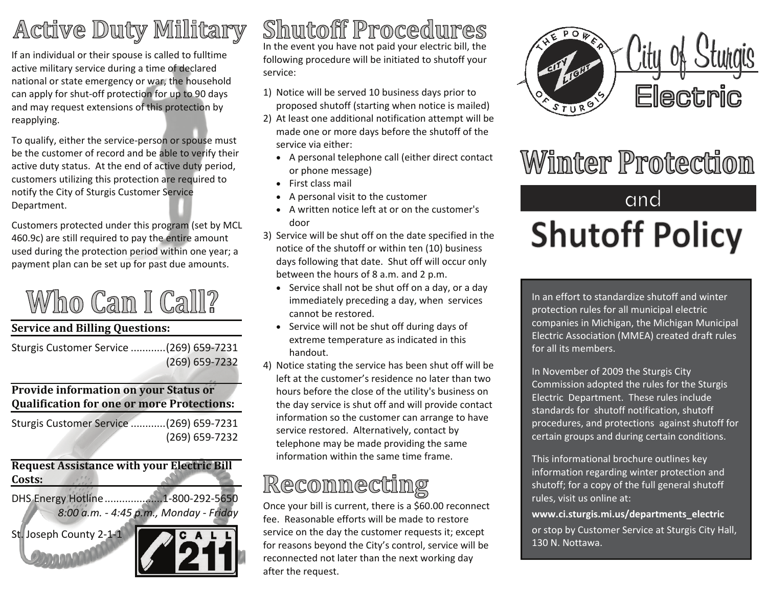## Active Duty Millitary

If an individual or their spouse is called to fulltime active military service during <sup>a</sup> time of declared national or state emergency or war, the household can apply for shut‐off protection for up to 90 days and may request extensions of this protection by reapplying.

To qualify, either the service‐person or spouse must be the customer of record and be able to verify their active duty status. At the end of active duty period, customers utilizing this protection are required to notify the City of Sturgis Customer Service Department.

Customers protected under this program (set by MCL 460.9c) are still required to pay the entire amount used during the protection period within one year; <sup>a</sup> payment plan can be set up for past due amounts.

# Who Can I Call?

#### **Service and Billing Questions:**

Sturgis Customer Service ............(269) 659‐7231 (269) 659‐7232

#### **Provide information on your Status or Qualification for one or more Protections:**

| Sturgis Customer Service  (269) 659-7231 |                |
|------------------------------------------|----------------|
|                                          | (269) 659-7232 |

**Request Assistance with your Electric Bill Costs:**DHS Energy Hotline....................1‐800‐292‐5650 *8:00 a.m. ‐ 4:45 p.m., Monday ‐ Friday* St. Joseph County 2‐1‐1



**Shutoff Procedures** In the event you have not paid your electric bill, the following procedure will be initiated to shutoff your service:

- 1) Notice will be served 10 business days prior to proposed shutoff (starting when notice is mailed)
- 2) At least one additional notification attempt will be made one or more days before the shutoff of the service via either:
	- A personal telephone call (either direct contact or phone message)
	- First class mail
	- A personal visit to the customer
	- A written notice left at or on the customer's door
- 3) Service will be shut off on the date specified in the notice of the shutoff or within ten (10) business days following that date. Shut off will occur only between the hours of 8 a.m. and 2 p.m.
	- Service shall not be shut off on <sup>a</sup> day, or <sup>a</sup> day immediately preceding <sup>a</sup> day, when services cannot be restored.
	- Service will not be shut off during days of extreme temperature as indicated in this handout.
- 4) Notice stating the service has been shut off will be left at the customer's residence no later than two hours before the close of the utility's business on the day service is shut off and will provide contact information so the customer can arrange to have service restored. Alternatively, contact by telephone may be made providing the same information within the same time frame.

### Reconnecting

Once your bill is current, there is <sup>a</sup> \$60.00 reconnect fee. Reasonable efforts will be made to restore service on the day the customer requests it; except for reasons beyond the City's control, service will be reconnected not later than the next working day after the request.



# **Winter Protection**

# and **Shutoff Policy**

In an effort to standardize shutoff and winter protection rules for all municipal electric companies in Michigan, the Michigan Municipal Electric Association (MMEA) created draft rules for all its members.

In November of 2009 the Sturgis City Commission adopted the rules for the Sturgis Electric Department. These rules include standards for shutoff notification, shutoff procedures, and protections against shutoff for certain groups and during certain conditions.

This informational brochure outlines key information regarding winter protection and shutoff; for <sup>a</sup> copy of the full general shutoff rules, visit us online at:

**www.ci.sturgis.mi.us/departments\_electric** or stop by Customer Service at Sturgis City Hall, 130 N. Nottawa.